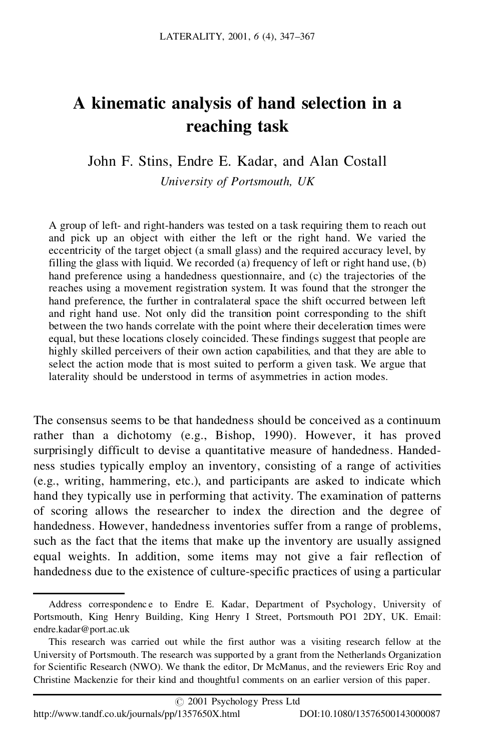# **A kinematic analysis of hand selection in a reaching task**

## John F. Stins, Endre E. Kadar, and Alan Costall

*University of Portsmouth, UK*

A group of left- and right-handers was tested on a task requiring them to reach out and pick up an object with either the left or the right hand. We varied the eccentricity of the target object (a small glass) and the required accuracy level, by filling the glass with liquid. We recorded (a) frequency of left or right hand use, (b) hand preference using a handedness questionnaire, and (c) the trajectories of the reaches using a movement registration system. It was found that the stronger the hand preference, the further in contralateral space the shift occurred between left and right hand use. Not only did the transition point corresponding to the shift between the two hands correlate with the point where their deceleration times were equal, but these locations closely coincided. These findings suggest that people are highly skilled perceivers of their own action capabilities, and that they are able to select the action mode that is most suited to perform a given task. We argue that laterality should be understood in terms of asymmetries in action modes.

The consensus seems to be that handedness should be conceived as a continuum rather than a dichotomy (e.g., Bishop, 1990). However, it has proved surprisingly difficult to devise a quantitative measure of handedness. Handed ness studies typically employ an inventory, consisting of a range of activities (e.g., writing, hammering, etc.), and participants are asked to indicate which hand they typically use in performing that activity. The examination of patterns of scoring allows the researcher to index the direction and the degree of handedness. However, handedness inventories suffer from a range of problems, such as the fact that the items that make up the inventory are usually assigned equal weights. In addition, some items may not give a fair reflection of handedness due to the existence of culture-specific practices of using a particular

Address correspondenc e to Endre E. Kadar, Department of Psychology, University of Portsmouth, King Henry Building, King Henry I Street, Portsmouth PO1 2DY, UK. Email: endre.kadar@port.ac.uk

This research was carried out while the first author was a visiting research fellow at the University of Portsmouth. The research was supported by a grant from the Netherlands Organization for Scientific Research (NWO). We thank the editor, Dr McManus, and the reviewers Eric Roy and Christine Mackenzie for their kind and thoughtful comments on an earlier version of this paper.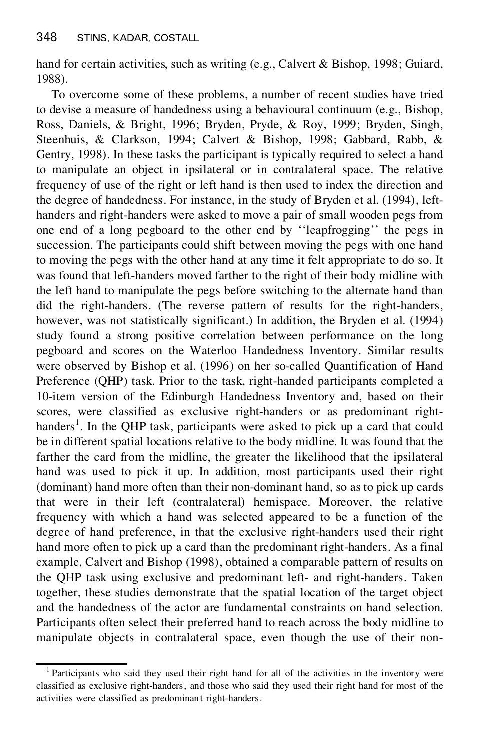hand for certain activities, such as writing (e.g., Calvert & Bishop, 1998; Guiard, 1988).

To overcome some of these problems, a number of recent studies have tried to devise a measure of handedness using a behavioural continuum (e.g., Bishop, Ross, Daniels, & Bright, 1996; Bryden, Pryde, & Roy, 1999; Bryden, Singh, Steenhuis, & Clarkson, 1994; Calvert & Bishop, 1998; Gabbard, Rabb, & Gentry, 1998). In these tasks the participant is typically required to select a hand to manipulate an object in ipsilateral or in contralateral space. The relative frequency of use of the right or left hand is then used to index the direction and the degree of handedness. For instance, in the study of Bryden et al. (1994), left handers and right-handers were asked to move a pair of small wooden pegs from one end of a long pegboard to the other end by ''leapfrogging'' the pegs in succession. The participants could shift between moving the pegs with one hand to moving the pegs with the other hand at any time it felt appropriate to do so. It was found that left-handers moved farther to the right of their body midline with the left hand to manipulate the pegs before switching to the alternate hand than did the right-handers. (The reverse pattern of results for the right-handers, however, was not statistically significant.) In addition, the Bryden et al. (1994) study found a strong positive correlation between performance on the long pegboard and scores on the Waterloo Handedness Inventory. Similar results were observed by Bishop et al. (1996) on her so-called Quantification of Hand Preference (QHP) task. Prior to the task, right-handed participants completed a 10-item version of the Edinburgh Handedness Inventory and, based on their scores, were classified as exclusive right-handers or as predominant right handers<sup>1</sup>. In the QHP task, participants were asked to pick up a card that could be in different spatial locations relative to the body midline. It was found that the farther the card from the midline, the greater the likelihood that the ipsilateral hand was used to pick it up. In addition, most participants used their right (dominant) hand more often than their non-dominant hand, so as to pick up cards that were in their left (contralateral) hemispace. Moreover, the relative frequency with which a hand was selected appeared to be a function of the degree of hand preference, in that the exclusive right-handers used their right hand more often to pick up a card than the predominant right-handers. As a final example, Calvert and Bishop (1998), obtained a comparable pattern of results on the QHP task using exclusive and predominant left- and right-handers. Taken together, these studies demonstrate that the spatial location of the target object and the handedness of the actor are fundamental constraints on hand selection. Participants often select their preferred hand to reach across the body midline to manipulate objects in contralateral space, even though the use of their non-

<sup>&</sup>lt;sup>1</sup> Participants who said they used their right hand for all of the activities in the inventory were classified as exclusive right-handers, and those who said they used their right hand for most of the activities were classified as predominant right-handers.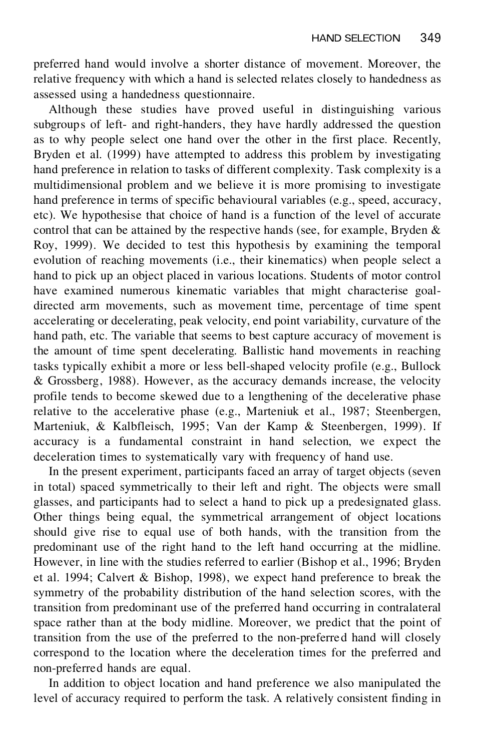preferred hand would involve a shorter distance of movement. Moreover, the relative frequency with which a hand is selected relates closely to handedness as assessed using a handedness questionnaire.

Although these studies have proved useful in distinguishing various subgroups of left- and right-handers, they have hardly addressed the question as to why people select one hand over the other in the first place. Recently, Bryden et al. (1999) have attempted to address this problem by investigating hand preference in relation to tasks of different complexity. Task complexity is a multidimensional problem and we believe it is more promising to investigate hand preference in terms of specific behavioural variables (e.g., speed, accuracy, etc). We hypothesise that choice of hand is a function of the level of accurate control that can be attained by the respective hands (see, for example, Bryden & Roy, 1999). We decided to test this hypothesis by examining the temporal evolution of reaching movements (i.e., their kinematics) when people select a hand to pick up an object placed in various locations. Students of motor control have examined numerous kinematic variables that might characterise goal directed arm movements, such as movement time, percentage of time spent accelerating or decelerating, peak velocity, end point variability, curvature of the hand path, etc. The variable that seems to best capture accuracy of movement is the amount of time spent decelerating. Ballistic hand movements in reaching tasks typically exhibit a more or less bell-shaped velocity profile (e.g., Bullock & Grossberg, 1988). However, as the accuracy demands increase, the velocity profile tends to become skewed due to a lengthening of the decelerative phase relative to the accelerative phase (e.g., Marteniuk et al., 1987; Steenbergen, Marteniuk, & Kalbfleisch, 1995; Van der Kamp & Steenbergen, 1999). If accuracy is a fundamental constraint in hand selection, we expect the deceleration times to systematically vary with frequency of hand use.

In the present experiment, participants faced an array of target objects (seven in total) spaced symmetrically to their left and right. The objects were small glasses, and participants had to select a hand to pick up a predesignated glass. Other things being equal, the symmetrical arrangement of object locations should give rise to equal use of both hands, with the transition from the predominant use of the right hand to the left hand occurring at the midline. However, in line with the studies referred to earlier (Bishop et al., 1996; Bryden et al. 1994; Calvert & Bishop, 1998), we expect hand preference to break the symmetry of the probability distribution of the hand selection scores, with the transition from predominant use of the preferred hand occurring in contralateral space rather than at the body midline. Moreover, we predict that the point of transition from the use of the preferred to the non-preferred hand will closely correspond to the location where the deceleration times for the preferred and non-preferred hands are equal.

In addition to object location and hand preference we also manipulated the level of accuracy required to perform the task. A relatively consistent finding in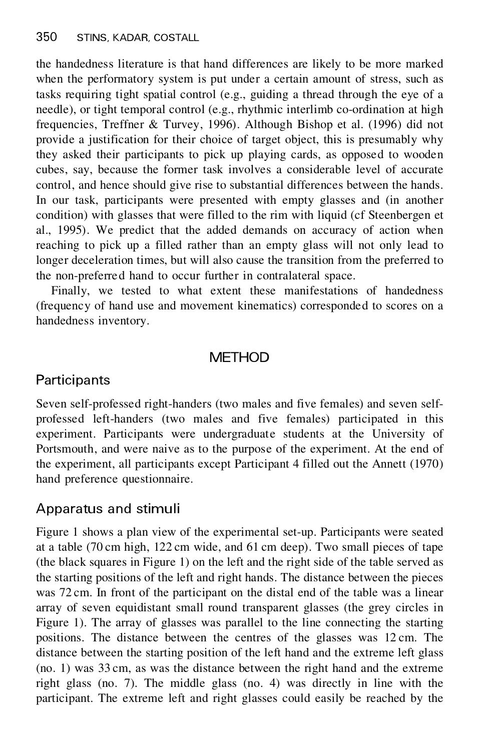the handedness literature is that hand differences are likely to be more marked when the performatory system is put under a certain amount of stress, such as tasks requiring tight spatial control (e.g., guiding a thread through the eye of a needle), or tight temporal control (e.g., rhythmic interlimb co-ordination at high frequencies, Treffner & Turvey, 1996). Although Bishop et al. (1996) did not provide a justification for their choice of target object, this is presumably why they asked their participants to pick up playing cards, as opposed to wooden cubes, say, because the former task involves a considerable level of accurate control, and hence should give rise to substantial differences between the hands. In our task, participants were presented with empty glasses and (in another condition) with glasses that were filled to the rim with liquid (cf Steenbergen et al., 1995). We predict that the added demands on accuracy of action when reaching to pick up a filled rather than an empty glass will not only lead to longer deceleration times, but will also cause the transition from the preferred to the non-preferred hand to occur further in contralateral space.

Finally, we tested to what extent these manifestations of handedness (frequency of hand use and movement kinematics) corresponded to scores on a handedness inventory.

# **METHOD**

# **Participants**

Seven self-professed right-handers (two males and five females) and seven self professed left-handers (two males and five females) participated in this experiment. Participants were undergraduate students at the University of Portsmouth, and were naive as to the purpose of the experiment. At the end of the experiment, all participants except Participant 4 filled out the Annett (1970) hand preference questionnaire.

# Apparatus and stimuli

Figure 1 shows a plan view of the experimental set-up. Participants were seated at a table (70 cm high, 122 cm wide, and 61 cm deep). Two small pieces of tape (the black squares in Figure 1) on the left and the right side of the table served as the starting positions of the left and right hands. The distance between the pieces was 72 cm. In front of the participant on the distal end of the table was a linear array of seven equidistant small round transparent glasses (the grey circles in Figure 1). The array of glasses was parallel to the line connecting the starting positions. The distance between the centres of the glasses was 12 cm. The distance between the starting position of the left hand and the extreme left glass (no. 1) was 33 cm, as was the distance between the right hand and the extreme right glass (no. 7). The middle glass (no. 4) was directly in line with the participant. The extreme left and right glasses could easily be reached by the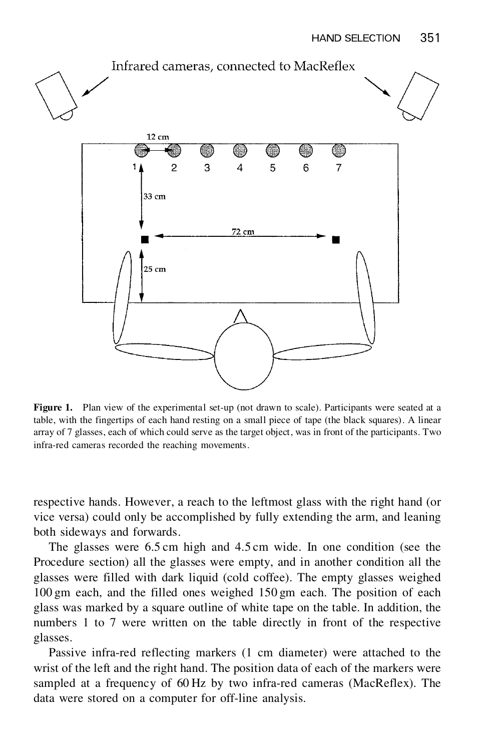

**Figure 1.** Plan view of the experimental set-up (not drawn to scale). Participants were seated at a table, with the fingertips of each hand resting on a small piece of tape (the black squares). A linear array of 7 glasses, each of which could serve as the target object, was in front of the participants. Two infra-red cameras recorded the reaching movements.

respective hands. However, a reach to the leftmost glass with the right hand (or vice versa) could only be accomplished by fully extending the arm, and leaning both sideways and forwards.

The glasses were 6.5 cm high and 4.5 cm wide. In one condition (see the Procedure section) all the glasses were empty, and in another condition all the glasses were filled with dark liquid (cold coffee). The empty glasses weighed 100 gm each, and the filled ones weighed 150 gm each. The position of each glass was marked by a square outline of white tape on the table. In addition, the numbers 1 to 7 were written on the table directly in front of the respective glasses.

Passive infra-red reflecting markers (1 cm diameter) were attached to the wrist of the left and the right hand. The position data of each of the markers were sampled at a frequency of 60 Hz by two infra-red cameras (MacReflex). The data were stored on a computer for off-line analysis.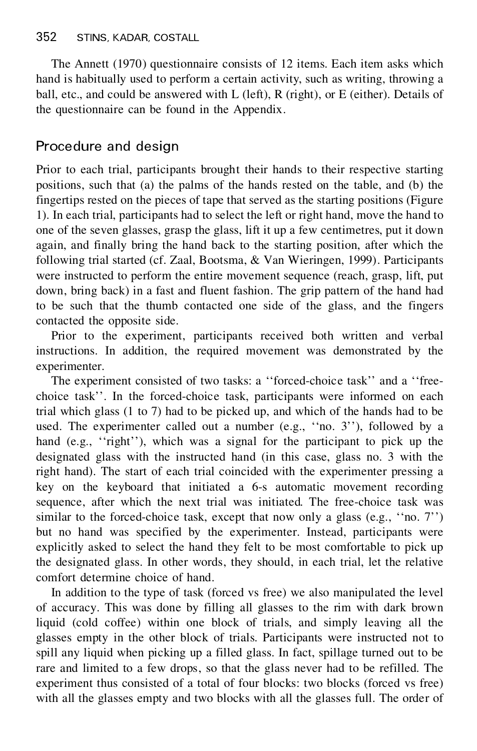The Annett (1970) questionnaire consists of 12 items. Each item asks which hand is habitually used to perform a certain activity, such as writing, throwing a ball, etc., and could be answered with L (left), R (right), or E (either). Details of the questionnaire can be found in the Appendix.

# Procedure and design

Prior to each trial, participants brought their hands to their respective starting positions, such that (a) the palms of the hands rested on the table, and (b) the fingertips rested on the pieces of tape that served as the starting positions (Figure 1). In each trial, participants had to select the left or right hand, move the hand to one of the seven glasses, grasp the glass, lift it up a few centimetres, put it down again, and finally bring the hand back to the starting position, after which the following trial started (cf. Zaal, Bootsma, & Van Wieringen, 1999). Participants were instructed to perform the entire movement sequence (reach, grasp, lift, put down, bring back) in a fast and fluent fashion. The grip pattern of the hand had to be such that the thumb contacted one side of the glass, and the fingers contacted the opposite side.

Prior to the experiment, participants received both written and verbal instructions. In addition, the required movement was demonstrated by the experimenter.

The experiment consisted of two tasks: a ''forced-choice task'' and a ''free choice task''. In the forced-choice task, participants were informed on each trial which glass (1 to 7) had to be picked up, and which of the hands had to be used. The experimenter called out a number (e.g., ''no. 3''), followed by a hand (e.g., "right"), which was a signal for the participant to pick up the designated glass with the instructed hand (in this case, glass no. 3 with the right hand). The start of each trial coincided with the experimenter pressing a key on the keyboard that initiated a 6-s automatic movement recording sequence, after which the next trial was initiated. The free-choice task was similar to the forced-choice task, except that now only a glass (e.g., "no. 7") but no hand was specified by the experimenter. Instead, participants were explicitly asked to select the hand they felt to be most comfortable to pick up the designated glass. In other words, they should, in each trial, let the relative comfort determine choice of hand.

In addition to the type of task (forced vs free) we also manipulated the level of accuracy. This was done by filling all glasses to the rim with dark brown liquid (cold coffee) within one block of trials, and simply leaving all the glasses empty in the other block of trials. Participants were instructed not to spill any liquid when picking up a filled glass. In fact, spillage turned out to be rare and limited to a few drops, so that the glass never had to be refilled. The experiment thus consisted of a total of four blocks: two blocks (forced vs free) with all the glasses empty and two blocks with all the glasses full. The order of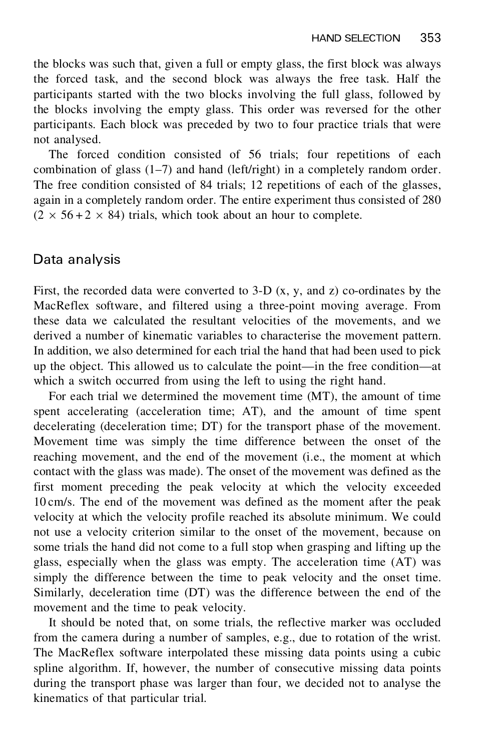the blocks was such that, given a full or empty glass, the first block was always the forced task, and the second block was always the free task. Half the participants started with the two blocks involving the full glass, followed by the blocks involving the empty glass. This order was reversed for the other participants. Each block was preceded by two to four practice trials that were not analysed.

The forced condition consisted of 56 trials; four repetitions of each combination of glass  $(1–7)$  and hand  $(\text{left/right})$  in a completely random order. The free condition consisted of 84 trials; 12 repetitions of each of the glasses, again in a completely random order. The entire experiment thus consisted of 280  $(2 \times 56 + 2 \times 84)$  trials, which took about an hour to complete.

#### Data analysis

First, the recorded data were converted to 3-D (x, y, and z) co-ordinates by the MacReflex software, and filtered using a three-point moving average. From these data we calculated the resultant velocities of the movements, and we derived a number of kinematic variables to characterise the movement pattern. In addition, we also determined for each trial the hand that had been used to pick up the object. This allowed us to calculate the point—in the free condition—at which a switch occurred from using the left to using the right hand.

For each trial we determined the movement time (MT), the amount of time spent accelerating (acceleration time; AT), and the amount of time spent decelerating (deceleration time; DT) for the transport phase of the movement. Movement time was simply the time difference between the onset of the reaching movement, and the end of the movement (i.e., the moment at which contact with the glass was made). The onset of the movement was defined as the first moment preceding the peak velocity at which the velocity exceeded 10 cm/s. The end of the movement was defined as the moment after the peak velocity at which the velocity profile reached its absolute minimum. We could not use a velocity criterion similar to the onset of the movement, because on some trials the hand did not come to a full stop when grasping and lifting up the glass, especially when the glass was empty. The acceleration time (AT) was simply the difference between the time to peak velocity and the onset time. Similarly, deceleration time (DT) was the difference between the end of the movement and the time to peak velocity.

It should be noted that, on some trials, the reflective marker was occluded from the camera during a number of samples, e.g., due to rotation of the wrist. The MacReflex software interpolated these missing data points using a cubic spline algorithm. If, however, the number of consecutive missing data points during the transport phase was larger than four, we decided not to analyse the kinematics of that particular trial.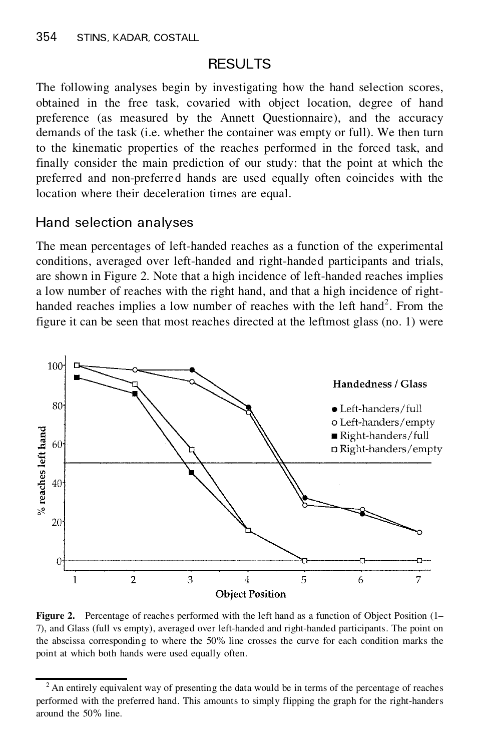## **RESULTS**

The following analyses begin by investigating how the hand selection scores, obtained in the free task, covaried with object location, degree of hand preference (as measured by the Annett Questionnaire), and the accuracy demands of the task (i.e. whether the container was empty or full). We then turn to the kinematic properties of the reaches performed in the forced task, and finally consider the main prediction of our study: that the point at which the preferred and non-preferred hands are used equally often coincides with the location where their deceleration times are equal.

## Hand selection analyses

The mean percentages of left-handed reaches as a function of the experimental conditions, averaged over left-handed and right-handed participants and trials, are shown in Figure 2. Note that a high incidence of left-handed reaches implies a low number of reaches with the right hand, and that a high incidence of right handed reaches implies a low number of reaches with the left hand<sup>2</sup>. From the figure it can be seen that most reaches directed at the leftmost glass (no. 1) were



**Figure 2.** Percentage of reaches performed with the left hand as a function of Object Position  $(1 -$ 7), and Glass (full vs empty), averaged over left-handed and right-handed participants. The point on the abscissa corresponding to where the 50% linecrosses the curve for each condition marks the point at which both hands were used equally often.

 $2$  An entirely equivalent way of presenting the data would be in terms of the percentage of reaches performed with the preferred hand. This amounts to simply flipping the graph for the right-handers around the 50% line.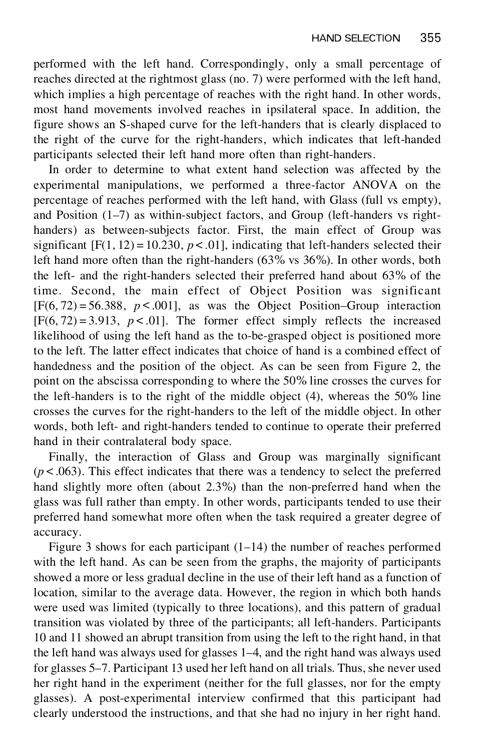performed with the left hand. Correspondingly, only a small percentage of reaches directed at the rightmost glass (no. 7) were performed with the left hand, which implies a high percentage of reaches with the right hand. In other words, most hand movements involved reaches in ipsilateral space. In addition, the figure shows an S-shaped curve for the left-handers that is clearly displaced to the right of the curve for the right-handers, which indicates that left-handed participants selected their left hand more often than right-handers.

In order to determine to what extent hand selection was affected by the experimental manipulations, we performed a three-factor ANOVA on the percentage of reaches performed with the left hand, with Glass (full vs empty), and Position  $(1–7)$  as within-subject factors, and Group (left-handers vs righthanders) as between-subjects factor. First, the main effect of Group was significant  $[F(1, 12) = 10.230, p < .01]$ , indicating that left-handers selected their left hand more often than the right-handers (63% vs 36%). In other words, both the left- and the right-handers selected their preferred hand about 63% of the time. Second, the main effect of Object Position was significant  $[F(6, 72) = 56.388, p < .001]$ , as was the Object Position–Group interaction  $[F(6, 72) = 3.913, p < .01]$ . The former effect simply reflects the increased likelihood of using the left hand as the to-be-grasped object is positioned more to the left. The latter effect indicates that choice of hand is a combined effect of handedness and the position of the object. As can be seen from Figure 2, the point on the abscissa corresponding to where the 50%line crosses the curves for the left-handers is to the right of the middle object (4), whereas the 50% line crosses the curves for the right-handers to the left of the middle object. In other words, both left- and right-handers tended to continue to operate their preferred hand in their contralateral body space.

Finally, the interaction of Glass and Group was marginally significant (*p* < .063). This effect indicates that there was a tendency to select the preferred hand slightly more often (about 2.3%) than the non-preferred hand when the glass was full rather than empty. In other words, participants tended to use their preferred hand somewhat more often when the task required a greater degree of accuracy.

Figure 3 shows for each participant (1–14) the number of reaches performed with the left hand. As can be seen from the graphs, the majority of participants showed a more or less gradual decline in the use of their left hand as a function of location, similar to the average data. However, the region in which both hands were used was limited (typically to three locations), and this pattern of gradual transition was violated by three of the participants; all left-handers. Participants 10 and 11 showed an abrupt transition from using the left to the right hand, in that the left hand was always used for glasses 1–4, and the right hand was always used for glasses 5–7. Participant 13 used her left hand on all trials. Thus, she never used her right hand in the experiment (neither for the full glasses, nor for the empty glasses). A post-experimental interview confirmed that this participant had clearly understood the instructions, and that she had no injury in her right hand.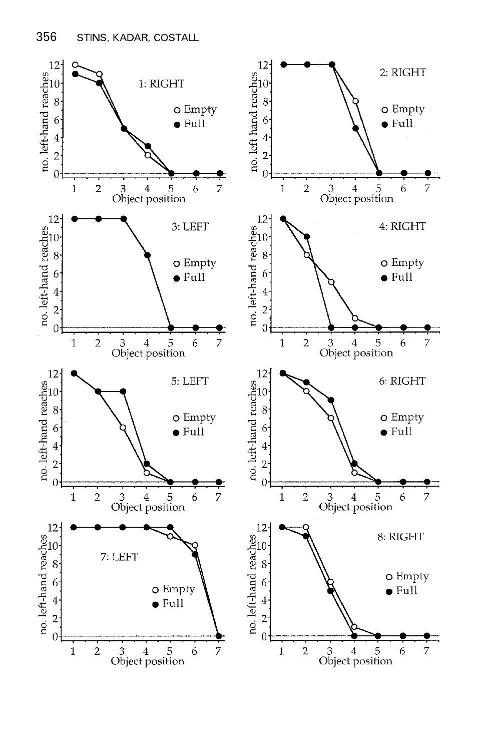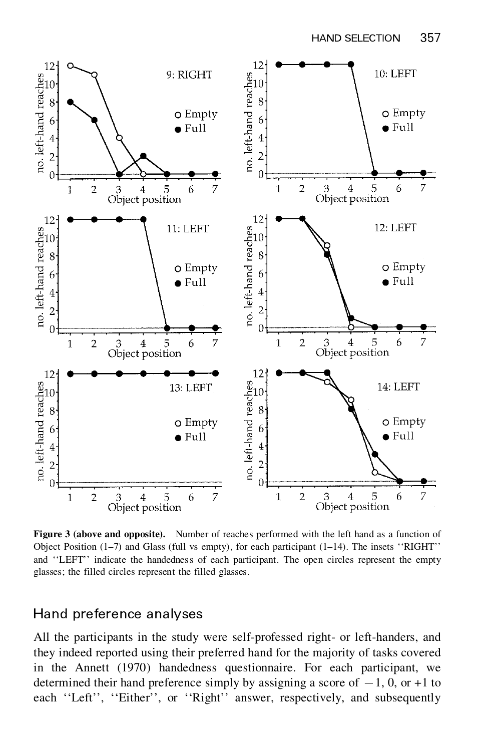

**Figure 3 (above and opposite).** Number of reaches performed with the left hand as a function of Object Position (1–7) and Glass (full vs empty), for each participant (1–14). The insets ''RIGHT'' and ''LEFT'' indicate the handedness of each participant. The open circles represent the empty glasses; the filled circles represent the filled glasses.

#### Hand preference analyses

All the participants in the study were self-professed right- or left-handers, and they indeed reported using their preferred hand for the majority of tasks covered in the Annett (1970) handedness questionnaire. For each participant, we determined their hand preference simply by assigning a score of  $-1, 0$ , or  $+1$  to each "Left", "Either", or "Right" answer, respectively, and subsequently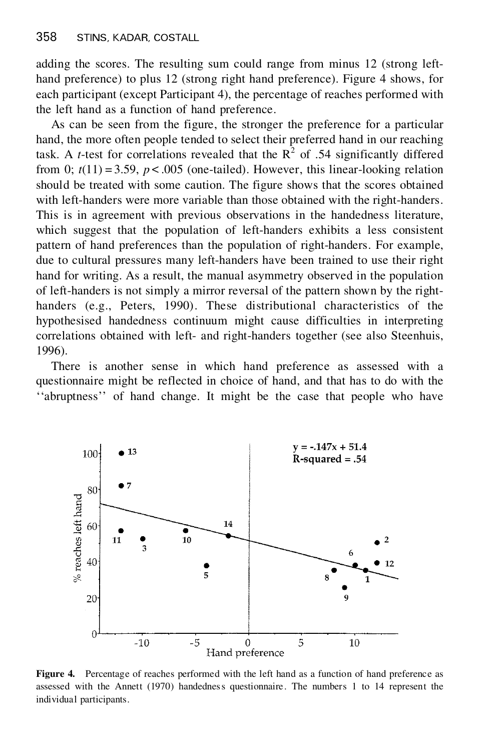adding the scores. The resulting sum could range from minus 12 (strong left hand preference) to plus 12 (strong right hand preference). Figure 4 shows, for each participant (except Participant 4), the percentage of reaches performed with the left hand as a function of hand preference.

As can be seen from the figure, the stronger the preference for a particular hand, the more often people tended to select their preferred hand in our reaching task. A *t*-test for correlations revealed that the  $R^2$  of .54 significantly differed from 0;  $t(11) = 3.59$ ,  $p < .005$  (one-tailed). However, this linear-looking relation should be treated with some caution. The figure shows that the scores obtained with left-handers were more variable than those obtained with the right-handers. This is in agreement with previous observations in the handedness literature, which suggest that the population of left-handers exhibits a less consistent pattern of hand preferences than the population of right-handers. For example, due to cultural pressures many left-handers have been trained to use their right hand for writing. As a result, the manual asymmetry observed in the population of left-handers is not simply a mirror reversal of the pattern shown by the right handers (e.g., Peters, 1990). These distributional characteristics of the hypothesised handedness continuum might cause difficulties in interpreting correlations obtained with left- and right-handers together (see also Steenhuis, 1996).

There is another sense in which hand preference as assessed with a questionnaire might be reflected in choice of hand, and that has to do with the ''abruptness'' of hand change. It might be the case that people who have



**Figure 4.** Percentage of reaches performed with the left hand as a function of hand preference as assessed with the Annett (1970) handedness questionnaire. The numbers 1 to 14 represent the individual participants.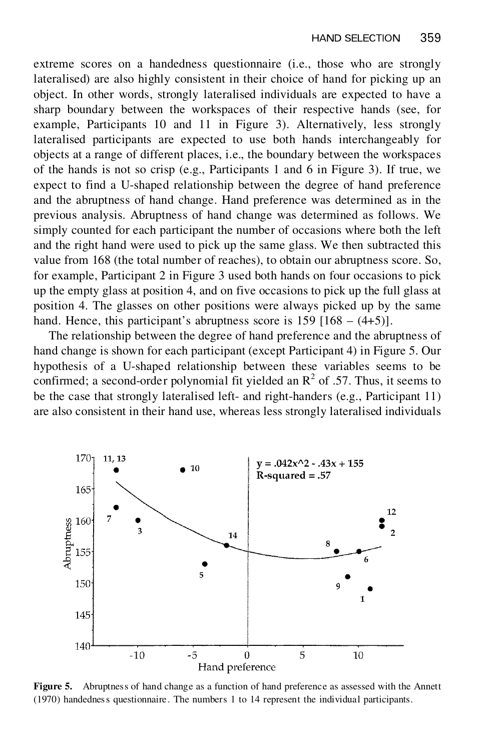extreme scores on a handedness questionnaire (i.e., those who are strongly lateralised) are also highly consistent in their choice of hand for picking up an object. In other words, strongly lateralised individuals are expected to have a sharp boundary between the workspaces of their respective hands (see, for example, Participants 10 and 11 in Figure 3). Alternatively, less strongly lateralised participants are expected to use both hands interchangeably for objects at a range of different places, i.e., the boundary between the workspaces of the hands is not so crisp (e.g., Participants 1 and 6 in Figure 3). If true, we expect to find a U-shaped relationship between the degree of hand preference and the abruptness of hand change. Hand preference was determined as in the previous analysis. Abruptness of hand change was determined as follows. We simply counted for each participant the number of occasions where both the left and the right hand were used to pick up the same glass. We then subtracted this value from 168 (the total number of reaches), to obtain our abruptness score. So, for example, Participant 2 in Figure 3 used both hands on four occasions to pick up the empty glass at position 4, and on five occasions to pick up the full glass at position 4. The glasses on other positions were always picked up by the same hand. Hence, this participant's abruptness score is  $159$   $[168 - (4+5)]$ .

The relationship between the degree of hand preference and the abruptness of hand change is shown for each participant (except Participant 4) in Figure 5. Our hypothesis of a U-shaped relationship between these variables seems to be confirmed; a second-order polynomial fit yielded an  $\mathbb{R}^2$  of .57. Thus, it seems to be the case that strongly lateralised left- and right-handers (e.g., Participant 11) are also consistent in their hand use, whereas less strongly lateralised individuals



**Figure 5.** Abruptness of hand change as a function of hand preference as assessed with the Annett (1970) handedness questionnaire. The numbers 1 to 14 represent the individual participants.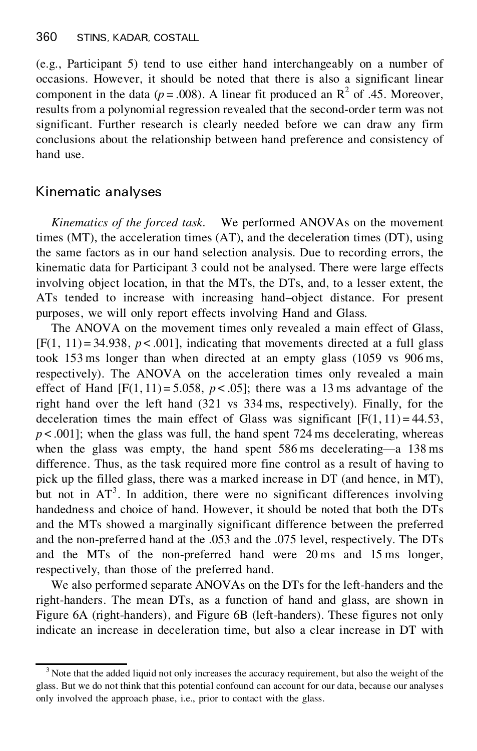(e.g., Participant 5) tend to use either hand interchangeably on a number of occasions. However, it should be noted that there is also a significant linear component in the data ( $p = .008$ ). A linear fit produced an  $R^2$  of .45. Moreover, results from a polynomial regression revealed that the second-order term was not significant. Further research is clearly needed before we can draw any firm conclusions about the relationship between hand preference and consistency of hand use.

### Kinematic analyses

*Kinematics of the forced task*. We performed ANOVAs on the movement times (MT), the acceleration times (AT), and the deceleration times (DT), using the same factors as in our hand selection analysis. Due to recording errors, the kinematic data for Participant 3 could not be analysed. There were large effects involving object location, in that the MTs, the DTs, and, to a lesser extent, the ATs tended to increase with increasing hand–object distance. For present purposes, we will only report effects involving Hand and Glass.

The ANOVA on the movement times only revealed a main effect of Glass,  $[F(1, 11) = 34.938, p < .001]$ , indicating that movements directed at a full glass took 153 ms longer than when directed at an empty glass (1059 vs 906 ms, respectively). The ANOVA on the acceleration times only revealed a main effect of Hand  $[F(1, 11) = 5.058, p < .05]$ ; there was a 13 ms advantage of the right hand over the left hand (321 vs 334 ms, respectively). Finally, for the deceleration times the main effect of Glass was significant  $[F(1, 11) = 44.53]$ ,  $p \le 0.001$ ; when the glass was full, the hand spent 724 ms decelerating, whereas when the glass was empty, the hand spent 586 ms decelerating—a 138 ms difference. Thus, as the task required more fine control as a result of having to pick up the filled glass, there was a marked increase in DT (and hence, in MT), but not in  $AT<sup>3</sup>$ . In addition, there were no significant differences involving handedness and choice of hand. However, it should be noted that both the DTs and the MTs showed a marginally significant difference between the preferred and the non-preferred hand at the .053 and the .075 level, respectively. The DTs and the MTs of the non-preferred hand were 20 ms and 15 ms longer, respectively, than those of the preferred hand.

We also performed separate ANOVAs on the DTs for the left-handers and the right-handers. The mean DTs, as a function of hand and glass, are shown in Figure 6A (right-handers), and Figure 6B (left-handers). These figures not only indicate an increase in deceleration time, but also a clear increase in DT with

<sup>&</sup>lt;sup>3</sup> Note that the added liquid not only increases the accuracy requirement, but also the weight of the glass. But we do not think that this potential confound can account for our data, because our analyses only involved the approach phase, i.e., prior to contact with the glass.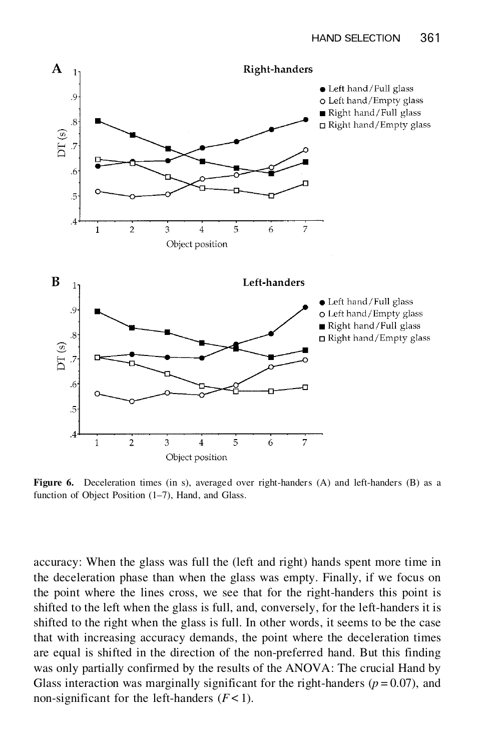

**Figure** 6. Deceleration times (in s), averaged over right-handers (A) and left-handers (B) as a function of Object Position (1–7), Hand, and Glass.

accuracy: When the glass was full the (left and right) hands spent more time in the deceleration phase than when the glass was empty. Finally, if we focus on the point where the lines cross, we see that for the right-handers this point is shifted to the left when the glass is full, and, conversely, for the left-handers it is shifted to the right when the glass is full. In other words, it seems to be the case that with increasing accuracy demands, the point where the deceleration times are equal is shifted in the direction of the non-preferred hand. But this finding was only partially confirmed by the results of the ANOVA: The crucial Hand by Glass interaction was marginally significant for the right-handers ( $p = 0.07$ ), and non-significant for the left-handers  $(F<1)$ .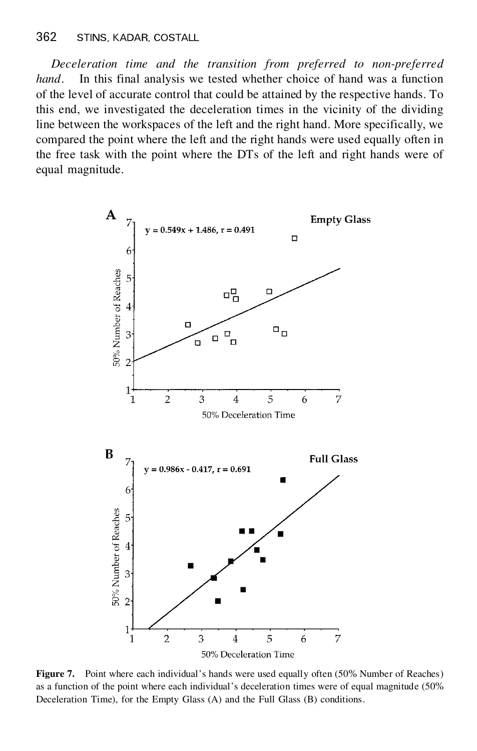*Deceleration time and the transition from preferred to non-preferred hand*. In this final analysis we tested whether choice of hand was a function of the level of accurate control that could be attained by the respective hands. To this end, we investigated the deceleration times in the vicinity of the dividing line between the workspaces of the left and the right hand. More specifically, we compared the point where the left and the right hands were used equally often in the free task with the point where the DTs of the left and right hands were of equal magnitude.



**Figure 7.** Point where each individual's hands were used equally often (50% Number of Reaches) as a function of the point where each individual's deceleration times were of equal magnitude (50% Deceleration Time), for the Empty Glass (A) and the Full Glass (B) conditions.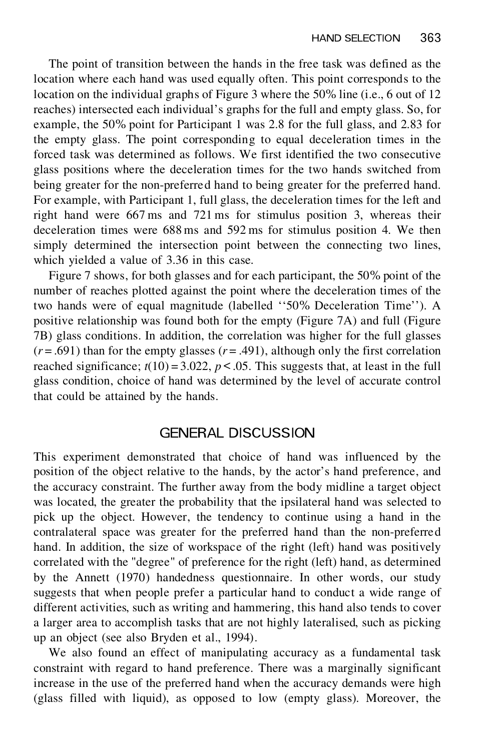The point of transition between the hands in the free task was defined as the location where each hand was used equally often. This point corresponds to the location on the individual graphs of Figure 3 where the 50% line (i.e., 6 out of 12 reaches) intersected each individual's graphs for the full and empty glass. So, for example, the 50% point for Participant 1 was 2.8 for the full glass, and 2.83 for the empty glass. The point corresponding to equal deceleration times in the forced task was determined as follows. We first identified the two consecutive glass positions where the deceleration times for the two hands switched from being greater for the non-preferred hand to being greater for the preferred hand. For example, with Participant 1, full glass, the deceleration times for the left and right hand were 667 ms and 721 ms for stimulus position 3, whereas their deceleration times were 688 ms and 592 ms for stimulus position 4. We then simply determined the intersection point between the connecting two lines, which yielded a value of 3.36 in this case.

Figure 7 shows, for both glasses and for each participant, the 50% point of the number of reaches plotted against the point where the deceleration times of the two hands were of equal magnitude (labelled ''50% Deceleration Time''). A positive relationship was found both for the empty (Figure 7A) and full (Figure 7B) glass conditions. In addition, the correlation was higher for the full glasses  $(r = .691)$  than for the empty glasses  $(r = .491)$ , although only the first correlation reached significance;  $t(10) = 3.022$ ,  $p < .05$ . This suggests that, at least in the full glass condition, choice of hand was determined by the level of accurate control that could be attained by the hands.

#### GENERAL DISCUSSION

This experiment demonstrated that choice of hand was influenced by the position of the object relative to the hands, by the actor's hand preference, and the accuracy constraint. The further away from the body midline a target object was located, the greater the probability that the ipsilateral hand was selected to pick up the object. However, the tendency to continue using a hand in the contralateral space was greater for the preferred hand than the non-preferred hand. In addition, the size of workspace of the right (left) hand was positively correlated with the "degree" of preference for the right (left) hand, as determined by the Annett (1970) handedness questionnaire. In other words, our study suggests that when people prefer a particular hand to conduct a wide range of different activities, such as writing and hammering, this hand also tends to cover a larger area to accomplish tasks that are not highly lateralised, such as picking up an object (see also Bryden et al., 1994).

We also found an effect of manipulating accuracy as a fundamental task constraint with regard to hand preference. There was a marginally significant increase in the use of the preferred hand when the accuracy demands were high (glass filled with liquid), as opposed to low (empty glass). Moreover, the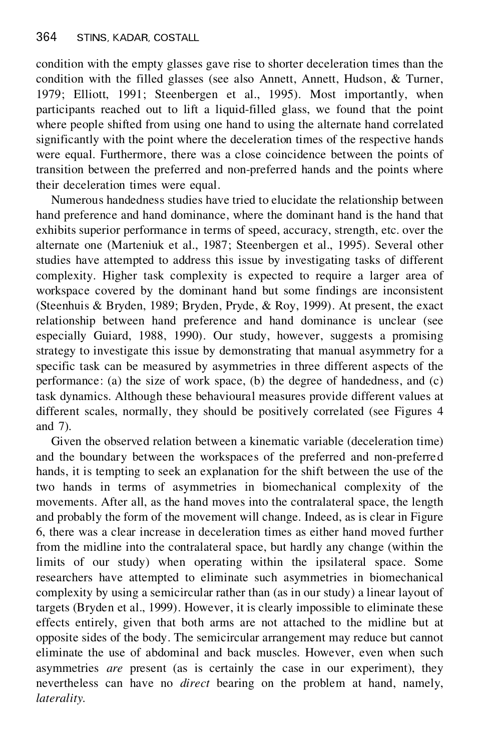condition with the empty glasses gave rise to shorter deceleration times than the condition with the filled glasses (see also Annett, Annett, Hudson, & Turner, 1979; Elliott, 1991; Steenbergen et al., 1995). Most importantly, when participants reached out to lift a liquid-filled glass, we found that the point where people shifted from using one hand to using the alternate hand correlated significantly with the point where the deceleration times of the respective hands were equal. Furthermore, there was a close coincidence between the points of transition between the preferred and non-preferred hands and the points where their deceleration times were equal.

Numerous handedness studies have tried to elucidate the relationship between hand preference and hand dominance, where the dominant hand is the hand that exhibits superior performance in terms of speed, accuracy, strength, etc. over the alternate one (Marteniuk et al., 1987; Steenbergen et al., 1995). Several other studies have attempted to address this issue by investigating tasks of different complexity. Higher task complexity is expected to require a larger area of workspace covered by the dominant hand but some findings are inconsistent (Steenhuis & Bryden, 1989; Bryden, Pryde, & Roy, 1999). At present, the exact relationship between hand preference and hand dominance is unclear (see especially Guiard, 1988, 1990). Our study, however, suggests a promising strategy to investigate this issue by demonstrating that manual asymmetry for a specific task can be measured by asymmetries in three different aspects of the performance: (a) the size of work space, (b) the degree of handedness, and (c) task dynamics. Although these behavioural measures provide different values at different scales, normally, they should be positively correlated (see Figures 4 and 7).

Given the observed relation between a kinematic variable (deceleration time) and the boundary between the workspaces of the preferred and non-preferred hands, it is tempting to seek an explanation for the shift between the use of the two hands in terms of asymmetries in biomechanical complexity of the movements. After all, as the hand moves into the contralateral space, the length and probably the form of the movement will change. Indeed, as is clear in Figure 6, there was a clear increase in deceleration times as either hand moved further from the midline into the contralateral space, but hardly any change (within the limits of our study) when operating within the ipsilateral space. Some researchers have attempted to eliminate such asymmetries in biomechanical complexity by using a semicircular rather than (as in our study) a linear layout of targets (Bryden et al., 1999). However, it is clearly impossible to eliminate these effects entirely, given that both arms are not attached to the midline but at opposite sides of the body. The semicircular arrangement may reduce but cannot eliminate the use of abdominal and back muscles. However, even when such asymmetries *are* present (as is certainly the case in our experiment), they nevertheless can have no *direct* bearing on the problem at hand, namely, *laterality*.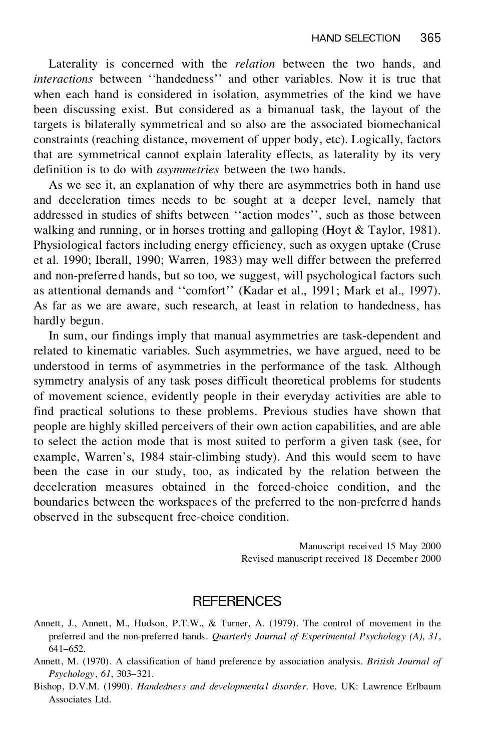Laterality is concerned with the *relation* between the two hands, and *interactions* between ''handedness'' and other variables. Now it is true that when each hand is considered in isolation, asymmetries of the kind we have been discussing exist. But considered as a bimanual task, the layout of the targets is bilaterally symmetrical and so also are the associated biomechanical constraints (reaching distance, movement of upper body, etc). Logically, factors that are symmetrical cannot explain laterality effects, as laterality by its very definition is to do with *asymmetries* between the two hands.

As we see it, an explanation of why there are asymmetries both in hand use and deceleration times needs to be sought at a deeper level, namely that addressed in studies of shifts between ''action modes'', such as those between walking and running, or in horses trotting and galloping (Hoyt & Taylor, 1981). Physiological factors including energy efficiency, such as oxygen uptake (Cruse et al. 1990; Iberall, 1990; Warren, 1983) may well differ between the preferred and non-preferred hands, but so too, we suggest, will psychological factors such as attentional demands and ''comfort'' (Kadar et al., 1991; Mark et al., 1997). As far as we are aware, such research, at least in relation to handedness, has hardly begun.

In sum, our findings imply that manual asymmetries are task-dependent and related to kinematic variables. Such asymmetries, we have argued, need to be understood in terms of asymmetries in the performance of the task. Although symmetry analysis of any task poses difficult theoretical problems for students of movement science, evidently people in their everyday activities are able to find practical solutions to these problems. Previous studies have shown that people are highly skilled perceivers of their own action capabilities, and are able to select the action mode that is most suited to perform a given task (see, for example, Warren's, 1984 stair-climbing study). And this would seem to have been the case in our study, too, as indicated by the relation between the deceleration measures obtained in the forced-choice condition, and the boundaries between the workspaces of the preferred to the non-preferred hands observed in the subsequent free-choice condition.

> Manuscript received 15 May 2000 Revised manuscript received 18 December 2000

#### **REFERENCES**

- Annett, J., Annett, M., Hudson, P.T.W., & Turner, A. (1979). The control of movement in the preferred and the non-preferred hands. *Quarterly Journal of Experimental Psychology (A)*, *31*, 641–652.
- Annett, M. (1970). A classification of hand preference by association analysis. *British Journal of Psychology*, *61*, 303–321.
- Bishop, D.V.M. (1990). *Handedness and developmental disorder*. Hove, UK: Lawrence Erlbaum Associates Ltd.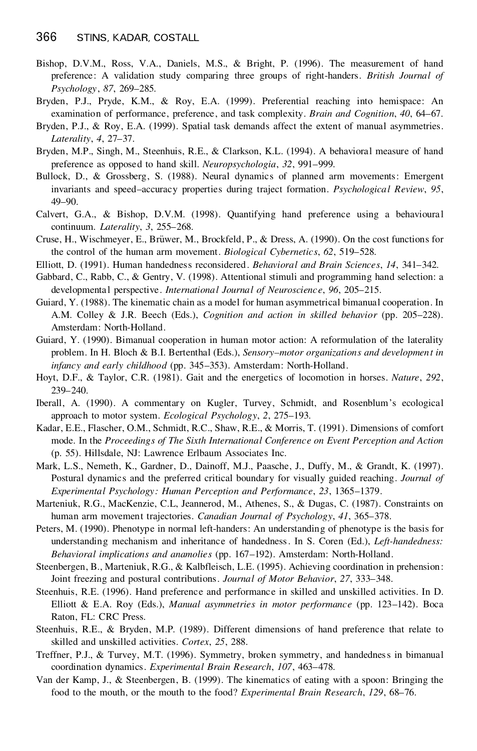- Bishop, D.V.M., Ross, V.A., Daniels, M.S., & Bright, P. (1996). The measurement of hand preference: A validation study comparing three groups of right-handers. *British Journal of Psychology*, *87*, 269–285.
- Bryden, P.J., Pryde, K.M., & Roy, E.A. (1999). Preferential reaching into hemispace: An examination of performance, preference, and task complexity. *Brain and Cognition*, *40*, 64–67.
- Bryden, P.J., & Roy, E.A. (1999). Spatial task demands affect the extent of manual asymmetries. *Laterality*, *4*, 27–37.
- Bryden, M.P., Singh, M., Steenhuis, R.E., & Clarkson, K.L. (1994). A behavioral measure of hand preference as opposed to hand skill. *Neuropsychologia*, *32*, 991–999.
- Bullock, D., & Grossberg, S. (1988). Neural dynamics of planned arm movements: Emergent invariants and speed–accuracy properties during traject formation. *Psychological Review*, *95*, 49–90.
- Calvert, G.A., & Bishop, D.V.M. (1998). Quantifying hand preference using a behavioural continuum. *Laterality*, *3*, 255–268.
- Cruse, H., Wischmeyer, E., Brüwer, M., Brockfeld, P., & Dress, A. (1990). On the cost functions for the control of the human arm movement. *Biological Cybernetics*, *62*, 519–528.
- Elliott, D. (1991). Human handedness reconsidered. *Behavioral and Brain Sciences*, *14*, 341–342.
- Gabbard, C., Rabb, C., & Gentry, V. (1998). Attentional stimuli and programming hand selection: a developmenta l perspective. *International Journal of Neuroscience*, *96*, 205–215.
- Guiard, Y. (1988). The kinematic chain as a model for human asymmetrical bimanual cooperation. In A.M. Colley & J.R. Beech (Eds.), *Cognition and action in skilled behavior* (pp. 205–228). Amsterdam: North-Holland.
- Guiard, Y. (1990). Bimanual cooperation in human motor action: A reformulation of the laterality problem. In H. Bloch & B.I. Bertenthal (Eds.), *Sensory–motor organizations and development in infancy and early childhood* (pp. 345–353). Amsterdam: North-Holland.
- Hoyt, D.F., & Taylor, C.R. (1981). Gait and the energetics of locomotion in horses. *Nature*, *292*, 239–240.
- Iberall, A. (1990). A commentary on Kugler, Turvey, Schmidt, and Rosenblum's ecological approach to motor system. *Ecological Psychology*, *2*, 275–193.
- Kadar, E.E., Flascher, O.M., Schmidt, R.C., Shaw, R.E., & Morris, T. (1991). Dimensions of comfort mode. In the *Proceedings of The Sixth International Conference on Event Perception and Action* (p. 55). Hillsdale, NJ: Lawrence Erlbaum Associates Inc.
- Mark, L.S., Nemeth, K., Gardner, D., Dainoff, M.J., Paasche, J., Duffy, M., & Grandt, K. (1997). Postural dynamics and the preferred critical boundary for visually guided reaching. *Journal of Experimental Psychology: Human Perception and Performance*, *23*, 1365–1379.
- Marteniuk, R.G., MacKenzie, C.L, Jeannerod, M., Athenes, S., & Dugas, C. (1987). Constraints on human arm movement trajectories. *Canadian Journal of Psychology*, *41*, 365–378.
- Peters, M. (1990). Phenotype in normal left-handers: An understanding of phenotype is the basis for understanding mechanism and inheritance of handedness. In S. Coren (Ed.), *Left-handedness: Behavioral implications and anamolies* (pp. 167–192). Amsterdam: North-Holland.
- Steenbergen, B., Marteniuk, R.G., & Kalbfleisch, L.E. (1995). Achieving coordination in prehension: Joint freezing and postural contributions. *Journal of Motor Behavior*, *27*, 333–348.
- Steenhuis, R.E. (1996). Hand preference and performance in skilled and unskilled activities. In D. Elliott & E.A. Roy (Eds.), *Manual asymmetries in motor performance* (pp. 123–142). Boca Raton, FL: CRC Press.
- Steenhuis, R.E., & Bryden, M.P. (1989). Different dimensions of hand preference that relate to skilled and unskilled activities. *Cortex*, *25*, 288.
- Treffner, P.J., & Turvey, M.T. (1996). Symmetry, broken symmetry, and handedness in bimanual coordination dynamics. *Experimental Brain Research*, *107*, 463–478.
- Van der Kamp, J., & Steenbergen, B. (1999). The kinematics of eating with a spoon: Bringing the food to the mouth, or the mouth to the food? *Experimental Brain Research*, *129*, 68–76.